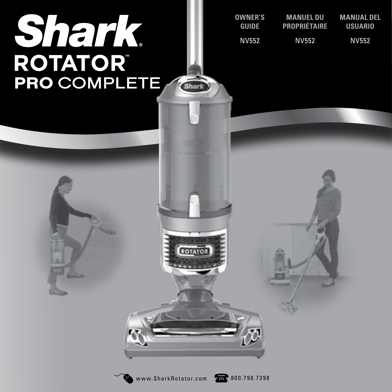# **Shark**<br>ROTATOR **PRO COMPLETE**

| <b>OWNER'S</b> | MANUEL DU    | MANUAL DEL   |  |
|----------------|--------------|--------------|--|
| <b>GUIDE</b>   | PROPRIÉTAIRE | USUARIO      |  |
| NV552          | <b>NV552</b> | <b>NV552</b> |  |



**ROTATO** 

Shark<sup>2</sup>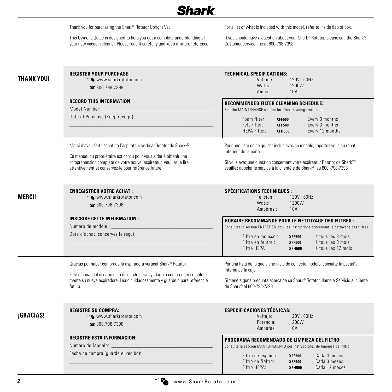**Shark** 

|            | Thank you for purchasing the Shark® Rotator Upright Vac.<br>This Owner's Guide is designed to help you get a complete understanding of<br>your new vacuum cleaner. Please read it carefully and keep it future reference.                                                                | For a list of what is included with this model, refer to inside flap of box.<br>If you should have a question about your Shark® Rotator, please call the Shark®<br>Customer service line at 800-798-7398.                                                                                                                                                                |
|------------|------------------------------------------------------------------------------------------------------------------------------------------------------------------------------------------------------------------------------------------------------------------------------------------|--------------------------------------------------------------------------------------------------------------------------------------------------------------------------------------------------------------------------------------------------------------------------------------------------------------------------------------------------------------------------|
| THANK YOU! | <b>REGISTER YOUR PURCHASE:</b><br>Www.sharkrotator.com<br>■ 800.798.7398<br><b>RECORD THIS INFORMATION:</b><br>Model Number: _<br>Date of Purchase (Keep receipt):                                                                                                                       | <b>TECHNICAL SPECIFICATIONS:</b><br>Voltage:<br>120V., 60Hz<br>Watts:<br>1200W<br>Amps:<br>10A<br><b>RECOMMENDED FILTER CLEANING SCHEDULE:</b><br>See the MAINTENANCE section for filter cleaning instructions<br>Foam filter:<br>Every 3 months<br><b>XFF500</b><br>Felt Filter:<br>Every 3 months<br><b>XFF500</b><br>HEPA Filter:<br>Every 12 months<br><b>XFH500</b> |
|            | Merci d'avoir fait l'achat de l'aspirateur vertical Rotator de Shark <sup>MD</sup> .<br>Ce manuel du propriétaire est conçu pour vous aider à obtenir une<br>compréhension complète de votre nouvel aspirateur. Veuillez le lire<br>attentivement et conservez-le pour référence future. | Pour une liste de ce qui est inclus avec ce modèle, reportez-vous au rabat<br>intérieur de la boîte.<br>Si vous avez une question concernant votre aspirateur Rotator de Shark <sup>MD</sup> ,<br>veuillez appeler le service à la clientèle de Shark <sup>MD</sup> au 800 -798-7398.                                                                                    |
| MERCI!     | <b>ENREGISTRER VOTRE ACHAT:</b><br>$\infty$ www.sharkrotator.com<br>■ 800.798.7398                                                                                                                                                                                                       | <b>SPÉCIFICATIONS TECHNIQUES:</b><br>Tension:<br>120V., 60Hz<br>1200W<br>Watts:<br>10A<br>Ampères :                                                                                                                                                                                                                                                                      |
|            | <b>INSCRIRE CETTE INFORMATION:</b><br>Numéro de modèle : __<br>Date d'achat (conservez le reçu) :                                                                                                                                                                                        | <b>HORAIRE RECOMMANDE POUR LE NETTOYAGE DES FILTRES :</b><br>Consultez la section ENTRETIEN pour les instructions concernant le nettoyage des filtres<br>Filtre en mousse :<br>à tous les 3 mois<br><b>XFF500</b><br>Filtre en feutre :<br>à tous les 3 mois<br><b>XFF500</b><br>Filtre HEPA :<br>à tous les 12 mois<br><b>XFH500</b>                                    |
|            | Gracias por haber comprado la aspiradora vertical Shark® Rotator.<br>Este manual del usuario está diseñado para ayudarle a comprender completa-<br>mente su nueva aspiradora. Léalo cuidadosamente y guárdelo para referencia<br>futura.                                                 | Por una lista de lo que viene incluido con este modelo, consulte la pestaña<br>interna de la caja.<br>Si tiene alguna pregunta acerca de su Shark® Rotator, llame a Servicio al cliente<br>de Shark® al 800-798-7398.                                                                                                                                                    |
| ¡GRACIAS!  | <b>REGISTRE SU COMPRA:</b><br>www.sharkrotator.com<br>■ 800.798.7398                                                                                                                                                                                                                     | <b>ESPECIFICACIONES TÉCNICAS:</b><br>120V., 60Hz<br>Voltaje:<br>1200W<br>Potencia:<br>Amperes:<br>10A                                                                                                                                                                                                                                                                    |
|            | <b>REGISTRE ESTA INFORMACIÓN:</b><br>Número de Modelo:<br>Fecha de compra (guarde el recibo):                                                                                                                                                                                            | PROGRAMA RECOMENDADO DE LIMPIEZA DEL FILTRO:<br>Consulte la sección MANTENIMIENTO por instrucciones de limpieza del filtro<br>Cada 3 meses<br>Filtro de espuma:<br><b>XFF500</b><br>Filtro de fieltro:<br>Cada 3 meses<br><b>XFF500</b><br>Filtro HEPA:<br>Cada 12 meses<br><b>XFH500</b>                                                                                |

 $\sum_{n=1}^{\infty} w n w n S_{\text{hark} R \text{otator}.\text{com}}$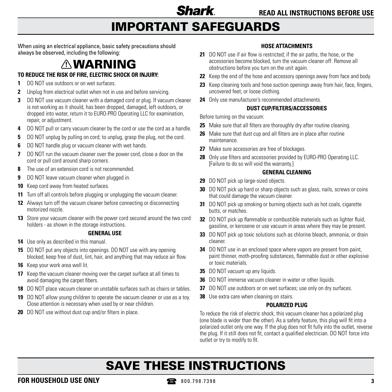## IMPORTANT SAFEGUARDS

When using an electrical appliance, basic safety precautions should always be observed, including the following:

## WARNING

#### **TO REDUCE THE RISK OF FIRE, ELECTRIC SHOCK OR INJURY:**

- **1** DO NOT use outdoors or on wet surfaces.
- **2** Unplug from electrical outlet when not in use and before servicing.
- **3** DO NOT use vacuum cleaner with a damaged cord or plug. If vacuum cleaner is not working as it should, has been dropped, damaged, left outdoors, or dropped into water, return it to EURO-PRO Operating LLC for examination, repair, or adjustment.
- **4** DO NOT pull or carry vacuum cleaner by the cord or use the cord as a handle.
- **5** DO NOT unplug by pulling on cord; to unplug, grasp the plug, not the cord.
- **6** DO NOT handle plug or vacuum cleaner with wet hands.
- **7** DO NOT run the vacuum cleaner over the power cord, close a door on the cord or pull cord around sharp corners.
- **8** The use of an extension cord is not recommended.
- **9** DO NOT leave vacuum cleaner when plugged in.
- **10** Keep cord away from heated surfaces.
- **11** Turn off all controls before plugging or unplugging the vacuum cleaner.
- **12** Always turn off the vacuum cleaner before connecting or disconnecting motorized nozzle.
- **13** Store your vacuum cleaner with the power cord secured around the two cord holders - as shown in the storage instructions.

#### **GENERAL USE**

- **14** Use only as described in this manual.
- **15** DO NOT put any objects into openings. DO NOT use with any opening blocked; keep free of dust, lint, hair, and anything that may reduce air flow.
- **16** Keep your work area well lit.
- **17** Keep the vacuum cleaner moving over the carpet surface at all times to avoid damaging the carpet fibers.
- **18** DO NOT place vacuum cleaner on unstable surfaces such as chairs or tables.
- **19** DO NOT allow young children to operate the vacuum cleaner or use as a toy. Close attention is necessary when used by or near children.
- **20** DO NOT use without dust cup and/or filters in place.

#### **HOSE ATTACHMENTS**

- **21** DO NOT use if air flow is restricted; if the air paths, the hose, or the accessories become blocked, turn the vacuum cleaner off. Remove all obstructions before you turn on the unit again.
- **22** Keep the end of the hose and accessory openings away from face and body.
- **23** Keep cleaning tools and hose suction openings away from hair, face, fingers, uncovered feet, or loose clothing.
- **24** Only use manufacturer's recommended attachments.

#### **DUST CUP/FILTERS/ACCESSORIES**

Before turning on the vacuum:

- **25** Make sure that all filters are thoroughly dry after routine cleaning.
- **26** Make sure that dust cup and all filters are in place after routine maintenance.
- **27** Make sure accessories are free of blockages.
- **28** Only use filters and accessories provided by EURO-PRO Operating LLC. [Failure to do so will void the warranty.]

#### **GENERAL CLEANING**

- **29** DO NOT pick up large-sized objects.
- **30** DO NOT pick up hard or sharp objects such as glass, nails, screws or coins that could damage the vacuum cleaner.
- **31** DO NOT pick up smoking or burning objects such as hot coals, cigarette butts, or matches.
- **32** DO NOT pick up flammable or combustible materials such as lighter fluid, gasoline, or kerosene or use vacuum in areas where they may be present.
- **33** DO NOT pick up toxic solutions such as chlorine bleach, ammonia, or drain cleaner.
- **34** DO NOT use in an enclosed space where vapors are present from paint, paint thinner, moth-proofing substances, flammable dust or other explosive or toxic materials.
- **35** DO NOT vacuum up any liquids.
- **36** DO NOT immerse vacuum cleaner in water or other liquids.
- **37** DO NOT use outdoors or on wet surfaces; use only on dry surfaces.
- **38** Use extra care when cleaning on stairs.

#### **POLARIZED PLUG**

To reduce the risk of electric shock, this vacuum cleaner has a polarized plug (one blade is wider than the other). As a safety feature, this plug will fit into a polarized outlet only one way. If the plug does not fit fully into the outlet, reverse the plug. If it still does not fit, contact a qualified electrician. DO NOT force into outlet or try to modify to fit.

# SAVE THESE INSTRUCTIONS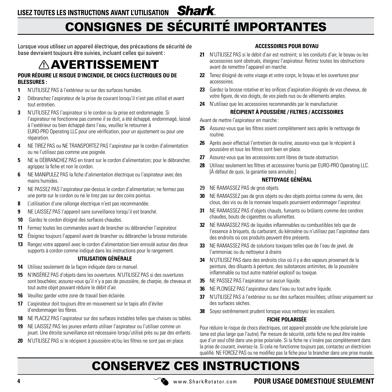### CONSIGNES DE SÉCURITÉ IMPORTANTES

Lorsque vous utilisez un appareil électrique, des précautions de sécurité de base devraient toujours être suivies, incluant celles qui suivent :

### $\wedge$  AVERTISSEMENT

#### **POUR RÉDUIRE LE RISQUE D'INCENDIE, DE CHOCS ÉLECTRIQUES OU DE BLESSURES :**

- **1** N'UTILISEZ PAS à l'extérieur ou sur des surfaces humides.
- **2** Débranchez l'aspirateur de la prise de courant lorsqu'il n'est pas utilisé et avant tout entretien.
- **3** N'UTILISEZ PAS l'aspirateur si le cordon ou la prise est endommagée. Si l'aspirateur ne fonctionne pas comme il se doit, a été échappé, endommagé, laissé à l'extérieur ou bien échappé dans l'eau, veuillez le retourner à EURO-PRO Operating LLC pour une vérification, pour un ajustement ou pour une réparation.
- **4** NE TIREZ PAS ou NE TRANSPORTEZ PAS l'aspirateur par le cordon d'alimentation ou ne l'utilisez pas comme une poignée.
- **5** NE le DÉBRANCHEZ PAS en tirant sur le cordon d'alimentation; pour le débrancher, agrippez la fiche et non le cordon.
- **6** NE MANIPULEZ PAS la fiche d'alimentation électrique ou l'aspirateur avec des mains humides.
- **7** NE PASSEZ PAS l'aspirateur par-dessus le cordon d'alimentation; ne fermez pas une porte sur le cordon ou ne le tirez pas sur des coins pointus.
- **8** L'utilisation d'une rallonge électrique n'est pas recommandée.
- **9** NE LAISSEZ PAS l'appareil sans surveillance lorsqu'il est branché.
- **10** Gardez le cordon éloigné des surfaces chaudes.
- **11** Fermez toutes les commandes avant de brancher ou débrancher l'aspirateur.
- **12** Éteignez toujours l'appareil avant de brancher ou débrancher la brosse motorisée.
- **13** Rangez votre appareil avec le cordon d'alimentation bien enroulé autour des deux supports à cordon comme indiqué dans les instructions pour le rangement.

#### **UTILISATION GÉNÉRALE**

- **14** Utilisez seulement de la façon indiquée dans ce manuel.
- **15** N'INSÉREZ PAS d'objets dans les ouvertures. N'UTILISEZ PAS si des ouvertures sont bouchées; assurez-vous qu'il n'y a pas de poussière, de charpie, de cheveux et tout autre objet pouvant réduire le débit d'air.
- **16** Veuillez garder votre zone de travail bien éclairée.
- **17** L'aspirateur doit toujours être en mouvement sur le tapis afin d'éviter d'endommager les fibres.
- **18** NE PLACEZ PAS l'aspirateur sur des surfaces instables telles que chaises ou tables.
- **19** NE LAISSEZ PAS les jeunes enfants utiliser l'aspirateur ou l'utiliser comme un jouet. Une étroite surveillance est nécessaire lorsqu'utilisé près ou par des enfants.
- **20** N'UTILISEZ PAS si le récipient à poussière et/ou les filtres ne sont pas en place.

#### **ACCESSOIRES POUR BOYAU**

- **21** N'UTILISEZ PAS si le débit d'air est restreint; si les conduits d'air, le boyau ou les accessoires sont obstrués, éteignez l'aspirateur. Retirez toutes les obstructions avant de remettre l'appareil en marche.
- **22** Tenez éloigné de votre visage et votre corps, le boyau et les ouvertures pour accessoires.
- **23** Gardez la brosse rotative et les orifices d'aspiration éloignés de vos cheveux, de votre figure, de vos doigts, de vos pieds nus ou de vêtements amples.
- **24** N'utilisez que les accessoires recommandés par le manufacturier.

#### **RÉCIPIENT À POUSSIÈRE / FILTRES / ACCESSOIRES**

Avant de mettre l'aspirateur en marche :

- **25** Assurez-vous que les filtres soient complètement secs après le nettoyage de routine.
- **26** Après avoir effectué l'entretien de routine, assurez-vous que le récipient à poussière et tous les filtres sont bien en place.
- **27** Assurez-vous que les accessoires sont libres de toute obstruction.
- **28** Utilisez seulement les filtres et accessoires fournis par EURO-PRO Operating LLC. [À défaut de quoi, la garantie sera annulée.]

#### **NETTOYAGE GÉNÉRAL**

- 29 NE RAMASSEZ PAS de gros objets.
- **30** NE RAMASSEZ pas de gros objets ou des objets pointus comme du verre, des clous, des vis ou de la monnaie lesquels pourraient endommager l'aspirateur.
- **31** NE RAMASSEZ PAS d'objets chauds, fumants ou brûlants comme des cendres chaudes, bouts de cigarettes ou allumettes.
- **32** NE RAMASSEZ PAS de liquides inflammables ou combustibles tels que de l'essence à briquets, du carburant, du kérosène ou n'utilisez pas l'aspirateur dans des endroits où ces produits peuvent être présents.
- **33** NE RAMASSEZ PAS de solutions toxiques telles que de l'eau de javel, de l'ammoniac ou du nettoyeur à drains
- **34** N'UTILISEZ PAS dans des endroits clos où il y a des vapeurs provenant de la peinture, des diluants à peinture, des substances antimites, de la poussière inflammable ou tout autre matériel explosif ou toxique.
- **35** NE PASSEZ PAS l'aspirateur sur aucun liquide.
- **36** NE PLONGEZ PAS l'aspirateur dans l'eau ou tout autre liquide.
- **37** N'UTILISEZ PAS à l'extérieur ou sur des surfaces mouillées; utilisez uniquement sur des surfaces sèches.
- **38** Soyez extrêmement prudent lorsque vous nettoyez les escaliers.

#### **FICHE POLARISÉE**

Pour réduire le risque de chocs électriques, cet appareil possède une fiche polarisée (une lame est plus large que l'autre). Par mesure de sécurité, cette fiche ne peut être insérée que d'un seul côté dans une prise polarisée. Si la fiche ne s'insère pas complètement dans la prise de courant, inversez-la. Si cela ne fonctionne toujours pas, contactez un électricien qualifié. NE FORCEZ PAS ou ne modifiez pas la fiche pour la brancher dans une prise murale.

# CONSERVEZ CES INSTRUCTIONS

**4** www.SharkRotator.com

**POUR USAGE DOMESTIQUE SEULEMENT**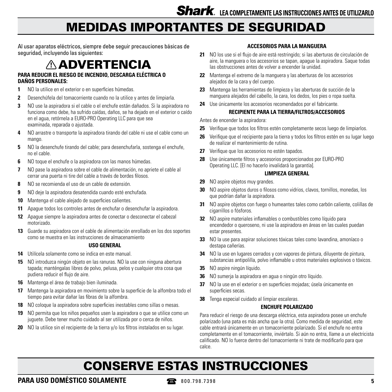### MEDIDAS IMPORTANTES DE SEGURIDAD

Al usar aparatos eléctricos, siempre debe seguir precauciones básicas de seguridad, incluyendo las siguientes:

### ADVERTENCIA

#### **PARA REDUCIR EL RIESGO DE INCENDIO, DESCARGA ELÉCTRICA O DAÑOS PERSONALES:**

- **1** NO la utilice en el exterior o en superficies húmedas.
- **2** Desenchúfela del tomacorriente cuando no la utilice y antes de limpiarla.
- **3** NO use la aspiradora si el cable o el enchufe están dañados. Si la aspiradora no funciona como debe, ha sufrido caídas, daños, se ha dejado en el exterior o caído en el agua, retórnela a EURO-PRO Operating LLC para que sea examinada, reparada o ajustada.
- **4** NO arrastre o transporte la aspiradora tirando del cable ni use el cable como un mango.
- **5** NO la desenchufe tirando del cable; para desenchufarla, sostenga el enchufe, no el cable.
- **6** NO toque el enchufe o la aspiradora con las manos húmedas.
- **7** NO pase la aspiradora sobre el cable de alimentación, no apriete el cable al cerrar una puerta ni tire del cable a través de bordes filosos.
- **8** NO se recomienda el uso de un cable de extensión.
- **9** NO deje la aspiradora desatendida cuando esté enchufada.
- **10** Mantenga el cable alejado de superficies calientes.
- **11** Apague todos los controles antes de enchufar o desenchufar la aspiradora.
- **12** Apague siempre la aspiradora antes de conectar o desconectar el cabezal motorizado.
- **13** Guarde su aspiradora con el cable de alimentación enrollado en los dos soportes como se muestra en las instrucciones de almacenamiento

#### **USO GENERAL**

- **14** Utilícela solamente como se indica en este manual.
- **15** NO introduzca ningún objeto en las ranuras. NO la use con ninguna abertura tapada; manténgalas libres de polvo, pelusa, pelos y cualquier otra cosa que pudiera reducir el flujo de aire.
- **16** Mantenga el área de trabajo bien iluminada.
- **17** Mantenga la aspiradora en movimiento sobre la superficie de la alfombra todo el tiempo para evitar dañar las fibras de la alfombra.
- **18** NO coloque la aspiradora sobre superficies inestables como sillas o mesas.
- **19** NO permita que los niños pequeños usen la aspiradora o que se utilice como un juguete. Debe tener mucho cuidado al ser utilizada por o cerca de niños.
- **20** NO la utilice sin el recipiente de la tierra y/o los filtros instalados en su lugar.

#### **ACCESORIOS PARA LA MANGUERA**

- **21** NO los use si el flujo de aire está restringido; si las aberturas de circulación de aire, la manguera o los accesorios se tapan, apague la aspiradora. Saque todas las obstrucciones antes de volver a encender la unidad.
- **22** Mantenga el extremo de la manguera y las aberturas de los accesorios alejados de la cara y del cuerpo.
- **23** Mantenga las herramientas de limpieza y las aberturas de succión de la manguera alejados del cabello, la cara, los dedos, los pies o ropa suelta.
- **24** Use únicamente los accesorios recomendados por el fabricante.

#### **RECIPIENTE PARA LA TIERRA/FILTROS/ACCESORIOS**

Antes de encender la aspiradora:

- **25** Verifique que todos los filtros estén completamente secos luego de limpiarlos.
- **26** Verifique que el recipiente para la tierra y todos los filtros estén en su lugar luego de realizar el mantenimiento de rutina.
- **27** Verifique que los accesorios no estén tapados.
- **28** Use únicamente filtros y accesorios proporcionados por EURO-PRO Operating LLC. [El no hacerlo invalidará la garantía].

#### **LIMPIEZA GENERAL**

- **29** NO aspire objetos muy grandes.
- **30** NO aspire objetos duros o filosos como vidrios, clavos, tornillos, monedas, los que podrían dañar la aspiradora.
- **31** NO aspire objetos con fuego o humeantes tales como carbón caliente, colillas de cigarrillos o fósforos.
- **32** NO aspire materiales inflamables o combustibles como líquido para encendedor o queroseno, ni use la aspiradora en áreas en las cuales puedan estar presentes.
- **33** NO la use para aspirar soluciones tóxicas tales como lavandina, amoníaco o destapa cañerías.
- **34** NO la use en lugares cerrados y con vapores de pintura, diluyente de pintura, substancias antipolilla, polvo inflamable u otros materiales explosivos o tóxicos.
- **35** NO aspire ningún líquido.
- **36** NO sumerja la aspiradora en agua o ningún otro líquido.
- **37** NO la use en el exterior o en superficies mojadas; úsela únicamente en superficies secas.
- **38** Tenga especial cuidado al limpiar escaleras.

#### **ENCHUFE POLARIZADO**

Para reducir el riesgo de una descarga eléctrica, esta aspiradora posee un enchufe polarizado (una pata es más ancha que la otra). Como medida de seguridad, este cable entrará únicamente en un tomacorriente polarizado. Si el enchufe no entra completamente en el tomacorriente, inviértalo. Si aún no entra, llame a un electricista calificado. NO lo fuerce dentro del tomacorriente ni trate de modificarlo para que calce.

## CONSERVE ESTAS INSTRUCCIONES

**PARA USO DOMÉSTICO SOLAMENTE**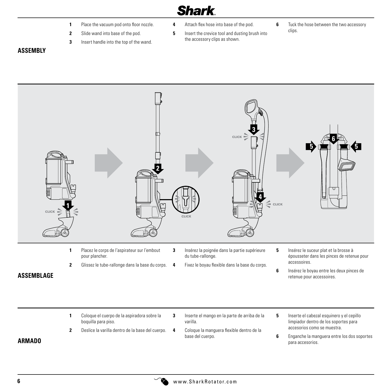- **1** Place the vacuum pod onto floor nozzle.
- **2** Slide wand into base of the pod.
- **3** Insert handle into the top of the wand.
- **4** Attach flex hose into base of the pod.
- **5** Insert the crevice tool and dusting brush into the accessory clips as shown.
- **6** Tuck the hose between the two accessory clips.

#### **ASSEMBLY**



- **1** Coloque el cuerpo de la aspiradora sobre la boquilla para piso.
- **2** Deslice la varilla dentro de la base del cuerpo.
- **3** Inserte el mango en la parte de arriba de la varilla.
	- **4** Coloque la manguera flexible dentro de la base del cuerpo.
- **5** Inserte el cabezal esquinero y el cepillo limpiador dentro de los soportes para accesorios como se muestra.
- **6** Enganche la manguera entre los dos soportes para accesorios.

#### **ARMADO**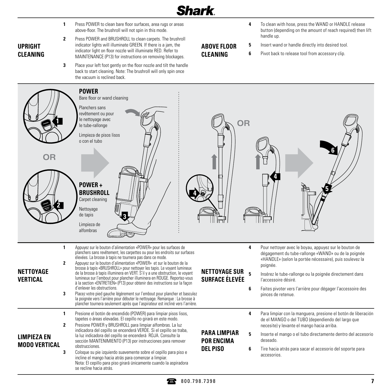- **1** Press POWER to clean bare floor surfaces, area rugs or areas above-floor. The brushroll will not spin in this mode.
- **UPRIGHT CLEANING**
- **2** Press POWER and BRUSHROLL to clean carpets. The brushroll indicator lights will illuminate GREEN. If there is a jam, the indicator light on floor nozzle will illuminate RED. Refer to

MAINTENANCE (P13) for instructions on removing blockages.

**3** Place your left foot gently on the floor nozzle and tilt the handle back to start cleaning. Note: The brushroll will only spin once the vacuum is reclined back.

- **4** To clean with hose, press the WAND or HANDLE release button (depending on the amount of reach required) then lift handle up.
- **5** Insert wand or handle directly into desired tool.
- **ABOVE FLOOR CLEANING**
- **6** Pivot back to release tool from accessory clip.

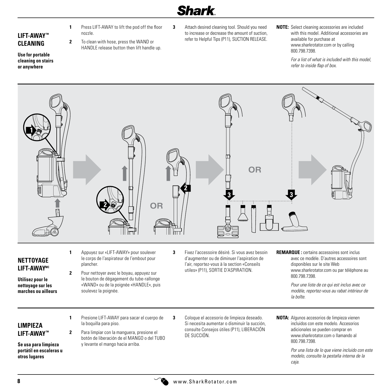**LIFT-AWAY™ CLEANING**

**Use for portable cleaning on stairs or anywhere**

- **1** Press LIFT-AWAY to lift the pod off the floor nozzle.
- **2** To clean with hose, press the WAND or HANDLE release button then lift handle up.
- **3** Attach desired cleaning tool. Should you need to increase or decrease the amount of suction, refer to Helpful Tips (P11), SUCTION RELEASE.
- **NOTE:** Select cleaning accessories are included with this model. Additional accessories are available for purchase at www.sharkrotator.com or by calling 800.798.7398.

 *For a list of what is included with this model, refer to inside flap of box.*



#### **NETTOYAGE LIFT-AWAYMC**

- **Utilisez pour le nettoyage sur les marches ou ailleurs**
- **1** Appuyez sur «LIFT-AWAY» pour soulever le corps de l'aspirateur de l'embout pour plancher.
- **2** Pour nettoyer avec le boyau, appuyez sur le bouton de dégagement du tube-rallonge «WAND» ou de la poignée «HANDLE», puis soulevez la poignée.
- **3** Fixez l'accessoire désiré. Si vous avez besoin d'augmenter ou de diminuer l'aspiration de l'air, reportez-vous à la section «Conseils utiles» (P11), SORTIE D'ASPIRATION.
- **REMARQUE :** certains accessoires sont inclus avec ce modèle. D'autres accessoires sont disponibles sur le site Web www.sharkrotator.com ou par téléphone au 800.798.7398.

 *Pour une liste de ce qui est inclus avec ce modèle, reportez-vous au rabat intérieur de la boîte.*

#### **LIMPIEZA LIFT-AWAY™**

**Se usa para limpieza portátil en escaleras u otros lugares**

- **1** Presione LIFT-AWAY para sacar el cuerpo de la boquilla para piso.
- **2** Para limpiar con la manguera, presione el botón de liberación de el MANGO o del TUBO y levante el mango hacia arriba.
- **3** Coloque el accesorio de limpieza deseado. Si necesita aumentar o disminuir la succión, consulte Consejos útiles (P11), LIBERACIÓN DE SUCCIÓN.
- **NOTA:** Algunos accesorios de limpieza vienen incluidos con este modelo. Accesorios adicionales se pueden comprar en www.sharkrotator.com o llamando al 800.798.7398.

 *Por una lista de lo que viene incluido con este modelo, consulte la pestaña interna de la caja.*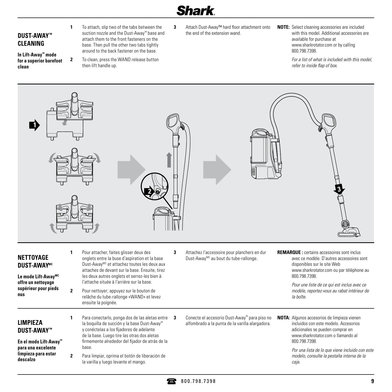#### **DUST-AWAY™ CLEANING**

**In Lift-Away™ mode for a superior barefoot clean**

**1** To attach, slip two of the tabs between the suction nozzle and the Dust-Away™ base and attach them to the front fasteners on the base. Then pull the other two tabs tightly around to the back fastener on the base. **2** To clean, press the WAND release button

then lift handle up.

- **3** Attach Dust-Away™ hard floor attachment onto the end of the extension wand.
- **NOTE:** Select cleaning accessories are included with this model. Additional accessories are available for purchase at www.sharkrotator.com or by calling 800.798.7398.

 *For a list of what is included with this model, refer to inside flap of box.*



**DUST-AWAYMC**

**Le mode Lift-AwayMC offre un nettoyage supérieur pour pieds nus**

- onglets entre la buse d'aspiration et la base Dust-Away<sup>MC</sup> et attachez toutes les deux aux attaches de devant sur la base. Ensuite, tirez les deux autres onglets et serrez-les bien à l'attache située à l'arrière sur la base.
- **2** Pour nettoyer; appuyez sur le bouton de relâche du tube-rallonge «WAND» et levez ensuite la poignée.

**1** Para conectarlo, ponga dos de las aletas entre **3** 

la varilla y luego levante el mango.

- **3** Conecte el accesorio Dust-Away™ para piso no alfombrado a la punta de la varilla alargadora.
- **NOTA:** Algunos accesorios de limpieza vienen incluidos con este modelo. Accesorios adicionales se pueden comprar en www.sharkrotator.com o llamando al 800.798.7398.

disponibles sur le site Web

800.798.7398.

*la boîte.*

www.sharkrotator.com ou par téléphone au

 *Pour une liste de ce qui est inclus avec ce modèle, reportez-vous au rabat intérieur de* 

 *Por una lista de lo que viene incluido con este modelo, consulte la pestaña interna de la caja.*

#### **LIMPIEZA DUST-AWAY™**

**En el modo Lift-Away™ para una excelente limpieza para estar descalzo**

- la boquilla de succión y la base Dust-Away™ y conéctelas a los fijadores de adelante de la base. Luego tire las otras dos aletas firmemente alrededor del fijador de atrás de la base. **2** Para limpiar, oprima el botón de liberación de
	- - 800.798.7398 **9**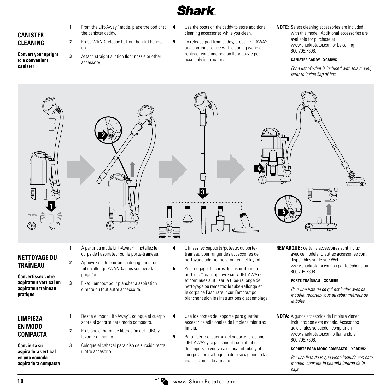### **CANISTER CLEANING**

- **Convert your upright to a convenient canister**
- **1** From the Lift-Away™ mode, place the pod onto the canister caddy.
- **2** Press WAND release button then lift handle up.
- **3** Attach straight suction floor nozzle or other accessory.
- **4** Use the posts on the caddy to store additional cleaning accessories while you clean.
- **5** To release pod from caddy, press LIFT-AWAY and continue to use with cleaning wand or replace wand and pod on floor nozzle per assembly instructions.
- **NOTE:** Select cleaning accessories are included with this model. Additional accessories are available for purchase at www.sharkrotator.com or by calling 800.798.7398.

#### **CANISTER CADDY - XCAD552**

 *For a list of what is included with this model, refer to inside flap of box.*

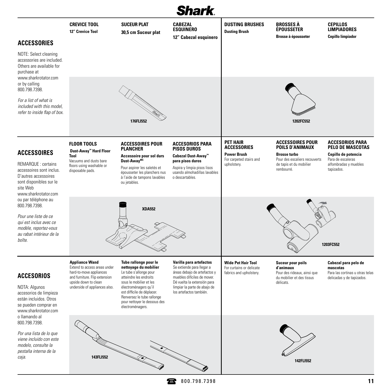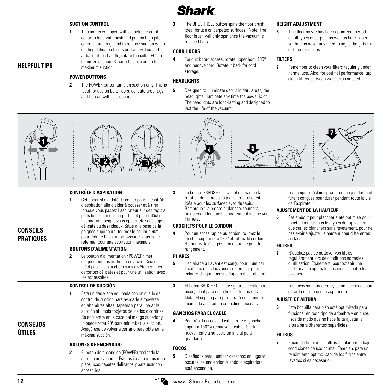#### **SUCTION CONTROL**

**1** This unit is equipped with a suction control collar to help with push and pull on high pile carpets, area rugs and to release suction when dusting delicate objects or drapery. Located at base of top handle, rotate the collar 90° to minimize suction. Be sure to close again for maximum suction.

#### **POWER BUTTONS**

- **2** The POWER button turns on suction only. This is ideal for use on bare floors, delicate area rugs and for use with accessories.
- **3** The BRUSHROLL button spins the floor brush ideal for use on carpeted surfaces. Note: The floor brush will only spin once the vacuum is reclined back.

#### **CORD HOOKS**

**4** For quick cord access, rotate upper hook 180° and remove cord. Rotate it back for cord storage.

#### **HEADLIGHTS**

**5** Designed to illuminate debris in dark areas, the headlights illuminate any time the power is on. The headlights are long-lasting and designed to last the life of the vacuum.

**5**

#### **HEIGHT ADJUSTMENT**

**6** This floor nozzle has been optimized to work on all types of carpets as well as bare floors so there is never any need to adjust heights for different surfaces.

#### **FILTERS**

**7** Remember to clean your filters regularly under normal use. Also, for optimal performance, tap clean filters between washes as needed.



**HELPFUL TIPS**



#### **CONTRÔLE D'ASPIRATION**

**1** Cet appareil est doté de collier pour le contrôle d'aspiration afin d'aider à pousser et à tirer lorsque vous passez l'aspirateur sur des tapis à poils longs, sur des carpettes et pour relâcher l'aspiration lorsque vous époussetez des objets délicats ou des rideaux. Situé à la base de la poignée supérieure, tournez le collier à 90° pour réduire l'aspiration. Assurez-vous de le refermer pour une aspiration maximale.

#### **BOUTONS D'ALIMENTATION**

**2** Le bouton d'alimentation «POWER» met uniquement l'aspiration en marche. Ceci est idéal pour les planchers sans revêtement, les carpettes délicates et pour une utilisation avec les accessoires.

#### **CONTROL DE SUCCIÓN**

**1** Esta unidad viene equipada con un cuello de control de succión para ayudarle a moverse en alfombras altas, tapetes y para liberar la succión al limpiar objetos delicados o cortinas. Se encuentra en la base del mango superior y lo puede rotar 90° para minimizar la succión. Asegúrese de volver a cerrarlo para obtener la máxima succión.

#### **BOTONES DE ENCENDIDO**

**2** El botón de encendido (POWER) enciende la succión únicamente. Esto es ideal para usar en pisos lisos, tapetes delicados y para usar con accesorios.

**3** Le bouton «BRUSHROLL» met en marche la rotation de la brosse à plancher et elle est idéale pour les surfaces avec du tapis. Remarque : la brosse à plancher tournera uniquement lorsque l'aspirateur est incliné vers l'arrière.

#### **CROCHETS POUR LE CORDON**

**4**

**4** Pour un accès rapide au cordon, tournez le crochet supérieur à 180° et retirez le cordon. Retournez-le à sa position d'origine pour le rangement.

#### **PHARES**

- **5** L'éclairage à l'avant est conçu pour illuminer les débris dans les zones sombres et pour éclairer chaque fois que l'appareil est allumé.
- **3** El botón BRUSHROLL hace girar el cepillo para pisos, ideal para superficies alfombradas. Nota: El cepillo para piso girará únicamente cuando la aspiradora se recline hacia atrás.

#### **GANCHOS PARA EL CABLE**

**4** Para rápido acceso al cable, rote el gancho superior 180° y remueva el cable. Gírelo nuevamente a su posición inicial para guardarlo.

#### **FOCOS**

**5** Diseñados para iluminar desechos en lugares oscuros, se encienden cuando la aspiradora está encendida.

Les lampes d'éclairage sont de longue durée et furent conçues pour durer pendant toute la vie de l'aspirateur.

**7**

#### **AJUSTEMENT DE LA HAUTEUR**

**6** Cet embout pour plancher a été optimisé pour fonctionner sur tous les types de tapis ainsi que sur les planchers sans revêtement, pour ne pas avoir à ajuster la hauteur pour différentes surfaces.

#### **FILTRES**

**7** N'oubliez pas de nettoyer vos filtres régulièrement lors de conditions normales d'utilisation. Également, pour obtenir une performance optimale, secouez-les entre les lavages.

> Los focos son duraderos y están diseñados para durar lo mismo que la aspiradora.

#### **AJUSTE DE ALTURA**

**6** Esta boquilla para piso está optimizada para funcionar en todo tipo de alfombra y en pisos lisos de modo que no hace falta ajustar la altura para diferentes superficies.

#### **FILTROS**

**7** Recuerde limpiar sus filtros regularmente bajo condiciones de uso normal. También, para un rendimiento óptimo, sacuda los filtros entre lavados si es necesario.

**CONSEJOS ÚTILES**

**CONSEILS PRATIQUES**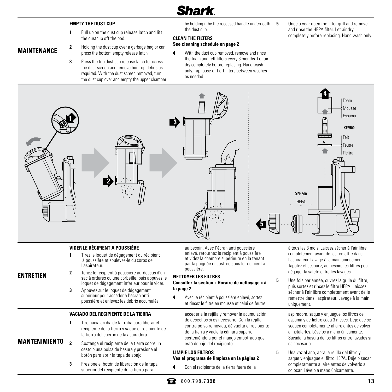#### **EMPTY THE DUST CUP**

- **1** Pull up on the dust cup release latch and lift the dustcup off the pod.
- **2** Holding the dust cup over a garbage bag or can, press the bottom empty release latch.
- **3** Press the top dust cup release latch to access the dust screen and remove built-up debris as required. With the dust screen removed, turn the dust cup over and empty the upper chamber

by holding it by the recessed handle underneath the dust cup.

#### **CLEAN THE FILTERS**

### **See cleaning schedule on page 2**

**4** With the dust cup removed, remove and rinse the foam and felt filters every 3 months. Let air dry completely before replacing. Hand wash only. Tap loose dirt off filters between washes as needed.

**5** Once a year open the filter grill and remove and rinse the HEPA filter. Let air dry completely before replacing. Hand wash only.



#### **VIDER LE RÉCIPIENT À POUSSIÈRE**

- **1** Tirez le loquet de dégagement du récipient à poussière et soulevez-le du corps de l'aspirateur.
- **ENTRETIEN**

**MAINTENANCE**

- **2** Tenez le récipient à poussière au-dessus d'un sac à ordures ou une corbeille, puis appuyez le loquet de dégagement inférieur pour le vider.
	- **3** Appuyez sur le loquet de dégagement supérieur pour accéder à l'écran anti poussière et enlevez les débris accumulés

#### **VACIADO DEL RECIPIENTE DE LA TIERRA**

- **1** Tire hacia arriba de la traba para liberar el recipiente de la tierra y saque el recipiente de la tierra del cuerpo de la aspiradora.
- **2** Sostenga el recipiente de la tierra sobre un cesto o una bolsa de basura y presione el botón para abrir la tapa de abajo. **MANTENIMIENTO**
	- **3** Presione el botón de liberación de la tapa superior del recipiente de la tierra para

au besoin. Avec l'écran anti poussière enlevé, retournez le récipient à poussière et videz la chambre supérieure en la tenant par la poignée encastrée sous le récipient à poussière.

#### **NETTOYER LES FILTRES**

#### **Consultez la section « Horaire de nettoyage » à la page 2**

**4** Avec le récipient à poussière enlevé, sortez et rincez le filtre en mousse et celui de feutre

> acceder a la rejilla y remover la acumulación de desechos si es necesario. Con la rejilla contra polvo removida, dé vuelta el recipiente de la tierra y vacíe la cámara superior sosteniéndola por el mango empotrado que está debajo del recipiente.

#### **LIMPIE LOS FILTROS Vea el programa de limpieza en la página 2**

**4** Con el recipiente de la tierra fuera de la

à tous les 3 mois. Laissez sécher à l'air libre complètement avant de les remettre dans l'aspirateur. Lavage à la main uniquement. Tapotez et secouez, au besoin, les filtres pour dégager la saleté entre les lavages.

**5** Une fois par année, ouvrez la grille du filtre, puis sortez et rincez le filtre HEPA. Laissez sécher à l'air libre complètement avant de le remettre dans l'aspirateur. Lavage à la main uniquement.

> aspiradora, saque y enjuague los filtros de espuma y de fieltro cada 3 meses. Deje que se sequen completamente al aire antes de volver a instalarlos. Lávelos a mano únicamente. Sacuda la basura de los filtros entre lavados si es necesario.

**5** Una vez al año, abra la rejilla del filtro v saque y enjuague el filtro HEPA. Déjelo secar completamente al aire antes de volverlo a colocar. Lávelo a mano únicamente.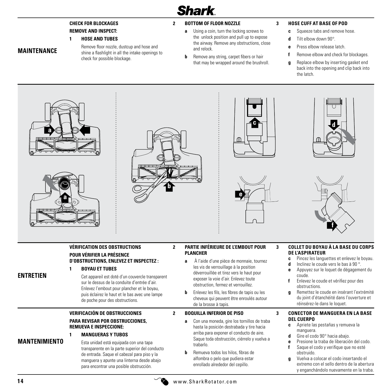#### **CHECK FOR BLOCKAGES REMOVE AND INSPECT:**

#### **1 HOSE AND TUBES**

**MAINTENANCE**

 Remove floor nozzle, dustcup and hose and shine a flashlight in all the intake openings to check for possible blockage.

#### **2 BOTTOM OF FLOOR NOZZLE**

- **a** Using a coin, turn the locking screws to the unlock position and pull up to expose the airway. Remove any obstructions, close and relock.
- **b** Remove any string, carpet fibers or hair that may be wrapped around the brushroll.

#### **3 HOSE CUFF AT BASE OF POD**

- **c** Squeeze tabs and remove hose.
- **d** Tilt elbow down 90°.
- **e** Press elbow release latch.
- **f** Remove elbow and check for blockages.
- **g** Replace elbow by inserting gasket end back into the opening and clip back into the latch.













#### **VÉRIFICATION DES OBSTRUCTIONS POUR VÉRIFIER LA PRÉSENCE D'OBSTRUCTIONS, ENLEVEZ ET INSPECTEZ :**

#### **ENTRETIEN**

**MANTENIMIENTO**

**1 BOYAU ET TUBES**

 Cet appareil est doté d'un couvercle transparent sur le dessus de la conduite d'entrée d'air. Enlevez l'embout pour plancher et le boyau, puis éclairez le haut et le bas avec une lampe de poche pour des obstructions.

#### **VERIFICACIÓN DE OBSTRUCCIONES**

#### **PARA REVISAR POR OBSTRUCCIONES, REMUEVA E INSPECCIONE:**

#### **1 MANGUERAS Y TUBOS**

 Esta unidad está equipada con una tapa transparente en la parte superior del conducto de entrada. Saque el cabezal para piso y la manguera y apunte una linterna desde abajo para encontrar una posible obstrucción.

#### **2 PARTIE INFÉRIEURE DE L'EMBOUT POUR PLANCHER**

- **a** À l'aide d'une pièce de monnaie, tournez les vis de verrouillage à la position déverrouillée et tirez vers le haut pour exposer la voie d'air. Enlevez toute obstruction, fermez et verrouillez.
- **b** Enlevez les fils, les fibres de tapis ou les cheveux qui peuvent être enroulés autour de la brosse à tapis.

#### **2 BOQUILLA INFERIOR DE PISO**

- **a** Con una moneda, gire los tornillos de traba hasta la posición destrabada y tire hacia arriba para exponer el conducto de aire. Saque toda obstrucción, ciérrelo y vuelva a trabarlo.
- **b** Remueva todos los hilos, fibras de alfombra o pelo que pudiera estar enrollado alrededor del cepillo.

#### **3 COLLET DU BOYAU À LA BASE DU CORPS DE L'ASPIRATEUR**

- **c** Pincez les languettes et enlevez le boyau.
- **d** Inclinez le coude vers le bas à 90 °.
- **e** Appuyez sur le loquet de dégagement du coude.
- **f** Enlevez le coude et vérifiez pour des obstructions.
- **g** Remettez le coude en insérant l'extrémité du joint d'étanchéité dans l'ouverture et réinsérez-le dans le loquet.

#### **3 CONECTOR DE MANGUERA EN LA BASE DEL CUERPO**

- **c** Apriete las pestañas y remueva la manguera.
- **d** Gire el codo 90° hacia abajo.
- **e** Presione la traba de liberación del codo. **f** Saque el codo y verifique que no esté obstruido.
- **g** Vuelva a colocar el codo insertando el extremo con el sello dentro de la abertura y enganchándolo nuevamente en la traba.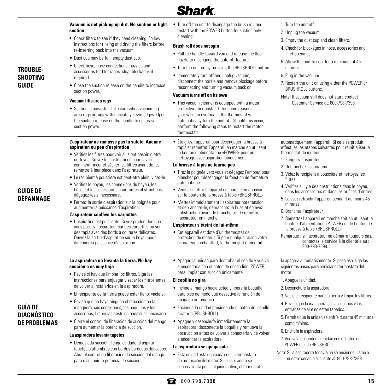### **•** Esta unidad está equipada con un termostato de protección del motor. Si la aspiradora se sobrecalienta por cualquier motivo, el termostato

- **15 15 16 1798.7398 15**
- 

**DE PROBLEMAS**

### **GUÍA DE DIAGNÓSTICO**

#### **La aspiradora no levanta la tierra. No hay succión o es muy baja •** Revise si hay que limpiar los filtros. Siga las

instrucciones para enjuagar y secar los filtros antes de volver a instalarlos en la aspiradora.

**Vacuum is not picking up dirt. No suction or light** 

**•** Check filters to see if they need cleaning. Follow instructions for rinsing and drying the filters before

• Suction is powerful. Take care when vacuuming area rugs or rugs with delicately sewn edges. Open the suction release on the handle to decrease

comment rincer et sécher les filtres avant de les remettre à leur place dans l'aspirateur. • Le récipient à poussière est peut-être plein; videz-le. • Vérifiez le boyau, les connexions du boyau, les buses et les accessoires pour toutes obstructions;

• Fermez la sortie d'aspiration sur la poignée pour augmenter la puissance d'aspiration. **L'aspirateur soulève les carpettes**

• L'aspiration est puissante. Soyez prudent lorsque vous passez l'aspirateur sur des carpettes ou sur des tapis avec des bords à coutures délicates. Ouvrez la sortie d'aspiration sur le boyau pour diminuer la puissance d'aspiration.

re-inserting back into the vacuum. • Dust cup may be full; empty dust cup. • Check hose, hose connections, nozzles and

**suction**

required.

**TROUBLE-SHOOTING GUIDE**

**GUIDE DE DÉPANNAGE**

suction power. **Vacuum lifts area rugs**

suction power.

**aspiration ou peu d'aspiration**

dégagez-les si nécessaire.

- El recipiente de la tierra puede estar lleno; vacíelo.
- Revise que no haya ninguna obstrucción en la manguera, sus conexiones, las boquillas y los accesorios; limpie las obstrucciones si es necesario.
- Cierre el control de liberación de succión del mango para aumentar la potencia de succión.

### **La aspiradora levanta tapetes**

• Demasiada succión. Tenga cuidado al aspirar tapetes o alfombras con bordes bordados delicados. Abra el control de liberación de succión del mango para disminuir la potencia de succión.

- a encenderla con el botón de encendido (POWER) para limpiar con succión únicamente. **El cepillo no gira**
	- Incline el mango hacia usted y libere la boquilla para piso de modo que desactive la función de apagado automático.
	- Encienda la unidad presionando el botón del cepillo giratorio (BRUSHROLL).
	- Apague y desenchufe inmediatamente la aspiradora, desconecte la boquilla y remueva la obstrucción antes de volver a conectarla y de volver a encender la aspiradora.

#### **La aspiradora se apaga sola**

**L'aspirateur ne ramasse pas la saleté. Aucune**  • Vérifiez les filtres pour voir s'ils ont besoin d'être nettoyés. Suivez les instructions pour savoir • Éteignez l'appareil pour désengager la brosse à tapis et remettez l'appareil en marche en utilisant le bouton d'alimentation «POWER» pour un nettoyage avec aspiration uniquement.

#### **La brosse à tapis ne tourne pas**

- Tirez la poignée vers vous et dégagez l'embout pour plancher pour désengager la fonction de fermeture automatique.
- Veuillez mettre l'appareil en marche en appuyant sur le bouton de la brosse à tapis «BRUSHROLL».
- Mettez immédiatement l'aspirateur hors tension et débranchez-le; débranchez la buse et enlevez l'obstruction avant de brancher et de remettre l'aspirateur en marche.

#### **L'aspirateur s'éteint de lui-même**

• Cet appareil est doté d'un thermostat de protection du moteur. Si pour quelque raison votre aspirateur surchauffait, le thermostat éteindrait

• Apague la unidad para destrabar el cepillo y vuelva

accessories for blockages; clear blockages if • Close the suction release on the handle to increase • Immediately turn off and unplug vacuum, disconnect the nozzle and remove blockage before reconnecting and turning vacuum back on.

#### **Vacuum turns off on its own**

**•** This vacuum cleaner is equipped with a motor protective thermostat. If for some reason your vacuum overheats, the thermostat will automatically turn the unit off. Should this occur, perform the following steps to restart the motor thermostat:

• Turn off the unit to disengage the brush roll and restart with the POWER button for suction only

• Pull the handle toward you and release the floor nozzle to disengage the auto-off feature. • Turn the unit on by pressing the BRUSHROLL button.

- 1. Turn the unit off.
- 2. Unplug the vacuum.
- 3. Empty the dust cup and clean filters.
- 4. Check for blockages in hose, accessories and inlet openings.
- 5. Allow the unit to cool for a minimum of 45 minutes.
- 6. Plug in the vacuum.
- 7. Restart the unit on using either the POWER or BRUSHROLL buttons.
- Note: If vacuum still does not start, contact Customer Service at: 800-798-7398.

automatiquement l'appareil. Si cela se produit, effectuez les étapes suivantes pour réinitialiser le thermostat du moteur :

- 1. Éteignez l'aspirateur.
- 2. Débranchez l'aspirateur.
- 3. Videz le récipient à poussière et nettoyez les filtres.
- 4. Vérifiez s'il y a des obstructions dans le boyau, dans les accessoires et dans les orifices d'entrée.
- 5. Laissez refroidir l'appareil pendant au moins 45 minutes.
- 6. Branchez l'aspirateur.
- 7. Remettez l'appareil en marche soit en utilisant le bouton d'alimentation «POWER» ou le bouton de la brosse à tapis «BRUSHROLL».
- Remarque : si l'aspirateur ne démarre toujours pas, contactez le service à la clientèle au : 800-798-7398.

la apagará automáticamente. Si pasa eso, siga los siguientes pasos para reiniciar el termostato del motor:

- 1. Apague la unidad.
- 2. Desenchufe la aspiradora.
- 3. Vacíe el recipiente para la tierra y limpie los filtros.
- 4. Revise que la manguera, los accesorios y las entradas de aire no estén tapados.
- 5. Permita que la unidad se enfríe durante 45 minutos como mínimo.
- 6. Enchufe la aspiradora.
- 7. Vuelva a encender la unidad con el botón de POWER o el de BRUSHROLL.
- Nota: Si la aspiradora todavía no se enciende, llame a nuestro servicio al cliente al: 800-798-7398.



**Brush roll does not spin**

cleaning.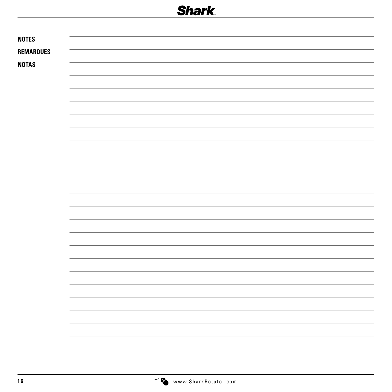| <b>NOTES</b>     |  |
|------------------|--|
| <b>REMARQUES</b> |  |
| <b>NOTAS</b>     |  |
|                  |  |
|                  |  |
|                  |  |
|                  |  |
|                  |  |
|                  |  |
|                  |  |
|                  |  |
|                  |  |
|                  |  |
|                  |  |
|                  |  |
|                  |  |
|                  |  |
|                  |  |
|                  |  |
|                  |  |
|                  |  |
|                  |  |
|                  |  |
|                  |  |
|                  |  |
|                  |  |
|                  |  |
|                  |  |
|                  |  |
|                  |  |
|                  |  |
|                  |  |
|                  |  |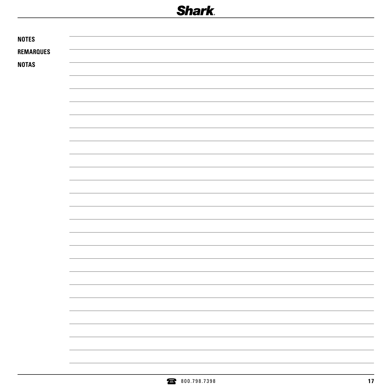|                  | 800.798.7398 | 17 |
|------------------|--------------|----|
|                  |              |    |
|                  |              |    |
|                  |              |    |
|                  |              |    |
|                  |              |    |
|                  |              |    |
|                  |              |    |
|                  |              |    |
|                  |              |    |
|                  |              |    |
|                  |              |    |
|                  |              |    |
|                  |              |    |
|                  |              |    |
|                  |              |    |
|                  |              |    |
|                  |              |    |
|                  |              |    |
|                  |              |    |
|                  |              |    |
|                  |              |    |
|                  |              |    |
|                  |              |    |
|                  |              |    |
|                  |              |    |
| <b>NOTAS</b>     |              |    |
| <b>REMARQUES</b> |              |    |
| <b>NOTES</b>     |              |    |
|                  |              |    |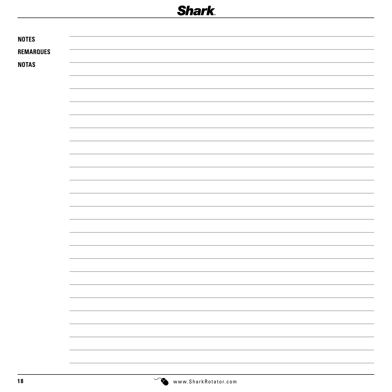| <b>NOTES</b>     |  |
|------------------|--|
| <b>REMARQUES</b> |  |
| <b>NOTAS</b>     |  |
|                  |  |
|                  |  |
|                  |  |
|                  |  |
|                  |  |
|                  |  |
|                  |  |
|                  |  |
|                  |  |
|                  |  |
|                  |  |
|                  |  |
|                  |  |
|                  |  |
|                  |  |
|                  |  |
|                  |  |
|                  |  |
|                  |  |
|                  |  |
|                  |  |
|                  |  |
|                  |  |
|                  |  |
|                  |  |
|                  |  |
|                  |  |
|                  |  |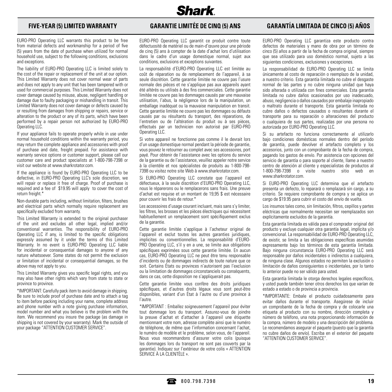**Shark** 

EURO-PRO Operating LLC warrants this product to be free from material defects and workmanship for a period of five (5) years from the date of purchase when utilized for normal household use, subject to the following conditions, exclusions and exceptions.

The liability of EURO-PRO Operating LLC is limited solely to the cost of the repair or replacement of the unit at our option. This Limited Warranty does not cover normal wear of parts and does not apply to any unit that has been tampered with or used for commercial purposes. This Limited Warranty does not cover damage caused by misuse, abuse, negligent handling or damage due to faulty packaging or mishandling in transit. This Limited Warranty does not cover damage or defects caused by or resulting from damages from shipping or repairs, service or alteration to the product or any of its parts, which have been performed by a repair person not authorized by EURO-PRO Operating LLC.

If your appliance fails to operate properly while in use under normal household conditions within the warranty period, you may return the complete appliance and accessories with proof of purchase and date, freight prepaid. For assistance with warranty service options or customer support, please call our customer care and product specialists at 1-800-798-7398 or visit our website at www.sharkrotator.com.

If the appliance is found by EURO-PRO Operating LLC to be defective, in EURO-PRO Operating LLC's sole discretion, we will repair or replace it free of charge. Proof of purchase is required and a fee of \$19.95 will apply to cover the cost of return freight.\*

Non-durable parts including, without limitation, filters, brushes and electrical parts which normally require replacement are specifically excluded from warranty.

This Limited Warranty is extended to the original purchaser of the unit and excludes all other legal, implied and/or conventional warranties. The responsibility of EURO-PRO Operating LLC if any, is limited to the specific obligations expressly assumed by it under the terms of this Limited Warranty. In no event is EURO-PRO Operating LLC liable for incidental or consequential damages to anyone of any nature whatsoever. Some states do not permit the exclusion or limitation of incidental or consequential damages, so the above may not apply to you.

This Limited Warranty gives you specific legal rights, and you may also have other rights which vary from state to state or province to province.

\*IMPORTANT: Carefully pack item to avoid damage in shipping. Be sure to include proof of purchase date and to attach a tag to item before packing including your name, complete address and phone number with a note giving purchase information, model number and what you believe is the problem with the item. We recommend you insure the package (as damage in shipping is not covered by your warranty). Mark the outside of your package "ATTENTION CUSTOMER SERVICE".

EURO-PRO Operating LLC garantit ce produit contre toute défectuosité de matériel ou de main-d'œuvre pour une période de cinq (5) ans à compter de la date d'achat lors d'utilisation dans le cadre d'un usage domestique normal, sujet aux conditions, exclusions et exceptions suivantes.

La responsabilité d'EURO-PRO Operating LLC est limitée au coût de réparation ou de remplacement de l'appareil, à sa seule discrétion. Cette garantie limitée ne couvre pas l'usure normale des pièces et ne s'applique pas aux appareils ayant été altérés ou utilisés à des fins commerciales. Cette garantie limitée ne couvre pas les dommages causés par une mauvaise utilisation, l'abus, la négligence lors de la manipulation, un emballage inadéquat ou la mauvaise manipulation en transit. Cette garantie limitée ne couvre pas les dommages ou défauts causés par ou résultants du transport, des réparations, de l'entretien ou de l'altération du produit ou à ses pièces, effectués par un technicien non autorisé par EURO-PRO Operating LLC.

Si votre appareil ne fonctionne pas comme il le devrait lors d'un usage domestique normal pendant la période de garantie, vous pouvez le retourner au complet avec ses accessoires, port payé. Pour obtenir de l'assistance avec les options du service de la garantie ou de l'assistance, veuillez appeler notre service à la clientèle et nos spécialistes de produits au 1-800-798- 7398 ou visitez notre site Web à www.sharkrotator.com.

Si EURO-PRO Operating LLC constate que l'appareil est défectueux, à la seule discrétion d'EURO-PRO Operating LLC, nous le réparerons ou le remplacerons sans frais. Une preuve d'achat est requise et un montant de 19,95 \$ est nécessaire pour couvrir les frais de retour.\*

Les accessoires d'usage courant incluant, mais sans s'y limiter, les filtres, les brosses et les pièces électriques qui nécessitent habituellement un remplacement sont spécifiquement exclus de la garantie.

Cette garantie limitée s'applique à l'acheteur original de l'appareil et exclut toutes les autres garanties juridiques, implicites ou conventionnelles. La responsabilité d'EURO-PRO Operating LLC, s'il y en a une, se limite aux obligations spécifiques exprimées sous cette garantie limitée. En aucun cas, EURO-PRO Operating LLC ne peut être tenu responsable d'incidents ou de dommages indirects de toute nature que ce soit. Certains États ou provinces n'autorisent pas l'exclusion ou la limitation de dommages circonstanciels ou conséquents, dans ce cas, cette disposition ne s'appliquerait pas.

Cette garantie limitée vous confère des droits juridiques spécifiques, et d'autres droits légaux vous sont peut-être disponibles, variant d'un État à l'autre ou d'une province à l'autre.

\*IMPORTANT : Emballez soigneusement l'appareil pour éviter tout dommage lors du transport. Assurez-vous de joindre la preuve d'achat et d'attacher à l'appareil une étiquette mentionnant votre nom, adresse complète ainsi que le numéro de téléphone, de même que l'information concernant l'achat, le numéro de modèle et le problème, selon vous, de l'appareil. Nous vous recommandons d'assurer votre colis (puisque les dommages lors du transport ne sont pas couverts par la garantie). Indiquez sur l'extérieur de votre colis « ATTENTION SERVICE À LA CLIENTÈLE ».

### **FIVE-YEAR (5) LIMITED WARRANTY GARANTIE LIMITÉE DE CINQ (5) ANS GARANTÍA LIMITADA DE CINCO (5) AÑOS**

EURO-PRO Operating LLC garantiza este producto contra defectos de materiales y mano de obra por un término de cinco (5) años a partir de la fecha de compra original, siempre que sea utilizado para uso doméstico normal, sujeto a las siguientes condiciones, exclusiones y excepciones.

La responsabilidad de EURO-PRO Operating LLC se limita únicamente al costo de reparación o reemplazo de la unidad, a nuestro criterio. Esta garantía limitada no cubre el desgaste normal de las partes y no cubre ninguna unidad que haya sido alterada o utilizada con fines comerciales. Esta garantía limitada no cubre daños ocasionados por uso inadecuado, abuso, negligencia o daños causados por embalaje inapropiado o maltrato durante el transporte. Esta garantía limitada no cubre daños o defectos causados o resultantes durante el transporte para su reparación o alteraciones del producto o cualquiera de sus partes, realizadas por una persona no autorizada por EURO-PRO Operating LLC.

Si su artefacto no funciona correctamente al utilizarlo bajo condiciones domésticas normales dentro del período de garantía, puede devolver el artefacto completo y los accesorios, junto con un comprobante de la fecha de compra, pagando los gastos de envío. Por asistencia con opciones del servicio de garantía o para soporte al cliente, llame a nuestro centro de atención al cliente y especialistas de productos al 1-800-798-7398 o visite nuestro sitio web en www.sharkrotator.com

Si EURO-PRO Operating LLC determina que el artefacto presenta un defecto, lo reparará o remplazará sin cargo, a su criterio. Se requiere comprobante de compra y se aplica un cargo de \$19.95 para cubrir el costo del envío de vuelta.

Los insumos tales como, sin limitación, filtros, cepillos y partes eléctricas que normalmente necesitan ser reemplazados son explícitamente excluidos de la garantía.

Esta garantía limitada es válida para el comprador original del producto y excluye cualquier otra garantía legal, implícita y/o convencional. La responsabilidad de EURO-PRO Operating LLC, de existir, se limita a las obligaciones específicas asumidas expresamente bajo los términos de esta garantía limitada. Bajo ninguna circunstancia EURO-PRO Operating LLC será responsable por daños incidentales o indirectos a cualquiera, de ninguna clase. Algunos estados no permiten la exclusión o limitación de daños consiguientes o incidentales, por lo tanto lo anterior puede no ser válido para usted.

Esta garantía limitada le otorga derechos legales específicos, y usted puede también tener otros derechos los que varían de estado a estado o de provincia a provincia.

\*IMPORTANTE: Embale el producto cuidadosamente para evitar daños durante el transporte. Asegúrese de incluir un comprobante de la fecha de compra y de colocarle una etiqueta al producto con su nombre, dirección completa y número de teléfono, una nota proporcionando información de la compra, número de modelo y una descripción del problema. Le recomendamos asegurar el paquete (puesto que la garantía no cubre daños de envío). Escriba en el exterior del paquete "ATTENTION CUSTOMER SERVICE".